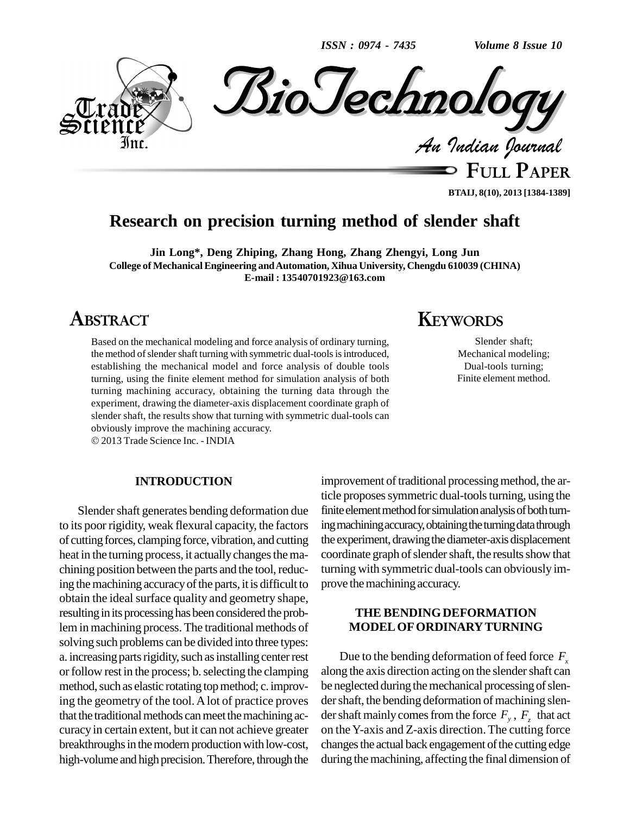*ISSN : 0974 - 7435 Volume 8 Issue 10*



**FULL PAPER BTAIJ, 8(10), 2013 [1384-1389]**

### **Research on precision turning method of slender shaft**

**Jin Long\*, Deng Zhiping, Zhang Hong, Zhang Zhengyi, Long Jun College of MechanicalEngineering andAutomation, Xihua University, Chengdu 610039 (CHINA) E-mail : [13540701923@163.com](mailto:13540701923@163.com)**

# **ABSTRACT**

Based on the mechanical modeling and force analysis of ordinary turning, the method of slender shaft turning with symmetric dual-tools is introduced, establishing the mechanical model and force analysis of double tools turning, using the finite element method for simulation analysis of both turning machining accuracy, obtaining the turning data through the experiment, drawing the diameter-axis displacement coordinate graph of slender shaft, the results show that turning with symmetric dual-tools can obviously improve the machining accuracy.

2013 Trade Science Inc. - INDIA

#### **INTRODUCTION**

Slender shaft generates bending deformation due to its poor rigidity, weak flexural capacity, the factors of cuttingforces, clampingforce, vibration, and cutting heat in the turning process, it actually changes the machining position between the parts and the tool, reducing the machining accuracy of the parts, it is difficult to obtain the ideal surface quality and geometry shape, resulting in its processing has been considered the problem in machining process. The traditional methods of solving such problems can be divided into three types: a. increasing parts rigidity, such as installing center rest or follow rest in the process; b. selecting the clamping method, such as elastic rotating top method; c. improving the geometry of the tool.Alot of practice proves that the traditional methods can meet the machining ac-curacy in certain extent, but it can not achieve greater breakthroughs in the modern production with low-cost, high-volume and high precision. Therefore, through the

### improvement of traditional processing method, the article proposes symmetric dual-tools turning, using the finite element method for simulation analysis of both turning machining accuracy, obtaining the turning data through the experiment, drawing the diameter-axis displacement coordinate graph of slender shaft, the results show that turning with symmetric dual-tools can obviously im prove the machining accuracy.

#### **THE BENDINGDEFORMATION MODELOFORDINARYTURNING**

Due to the bending deformation of feed force  $F<sub>x</sub>$ along the axis direction acting on the slender shaft can be neglected during the mechanical processing of slender shaft, the bending deformation of machining slender shaft mainly comes from the force  $F_y$ ,  $F_z$  that act on theY-axis and Z-axis direction.The cutting force changes the actual back engagement of the cutting edge during the machining, affecting the final dimension of

# **KEYWORDS**

Slender shaft; Mechanical modeling; Dual-tools turning; Finite element method.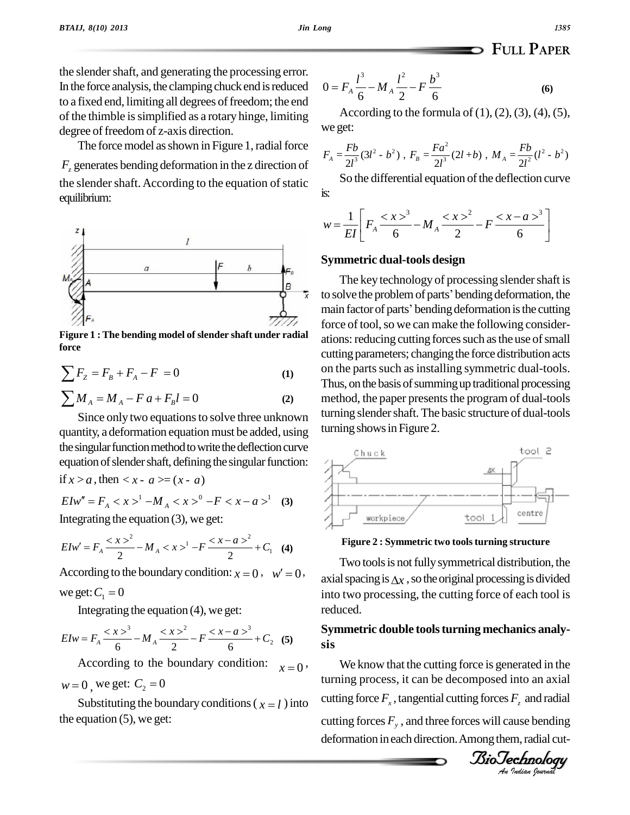the slender shaft, and generating the processing error. In the force analysis, the clamping chuck end is reduced to a fixed end, limiting all degrees of freedom; the end of the thimble issimplified as a rotary hinge, limiting degree of freedom of z-axis direction.

The force model as shown in Figure 1, radial force *F<sup>z</sup>* generates bending deformation in the z direction of the slender shaft. According to the equation of static equilibrium:



**Figure 1 : The bending model of slender shaft under radial force** Figure 1 : The bending model of slender shaft under radial<br>force<br> $\sum F_z = F_B + F_A - F = 0$  (1)

force  
\n
$$
\sum F_z = F_B + F_A - F = 0
$$
\n(1)  
\n
$$
\sum M_A = M_A - F a + F_B l = 0
$$
\n(2)

$$
\sum M_A = M_A - F a + F_B l = 0
$$
 (2)

Since only two equations to solve three unknown quantity, a deformation equation must be added, using the singular function method to write the deflection curve equation of slender shaft, defining the singular function:

if  $x > a$ , then  $\lt x - a \gt = (x - a)$  $\int f(x) = a$ , then  $\langle x - a \rangle = (x - a)$ <br>  $\int f(x)dx = F_A \langle x \rangle^1 - M_A \langle x \rangle^0 - F \langle x - a \rangle^1$  (3)

Integrating the equation (3), we get:  
\n
$$
E I w' = F_A \frac{^2}{2} - M_A < x>^1 - F \frac{^2}{2} + C_1
$$
 (4)  
\nAccording to the boundary condition:  $x = 0$ ,  $w' = 0$ ,  
\n
$$
w' = 0
$$

According to the bound:<br>we get:  $C_1 = 0$ 

Integrating the equation (4), we get:  
\n
$$
E I w = F_A \frac{^3}{6} - M_A \frac{^2}{2} - F \frac{^3}{6} + C_2
$$
 (5) **Symn**  
\nAccording to the boundary condition:  $x=0$ , W

 $x=0$ , According to the boundary<br> $w = 0$ , we get:  $C_2 = 0$  $w = 0$ , we get:  $C_2 = 0$ <br>Substituting the boundary conditions ( $\chi = l$ ) into

the equation (5), we get:

$$
0 = F_A \frac{l^3}{6} - M_A \frac{l^2}{2} - F \frac{b^3}{6}
$$
 (6)

According to the formula of  $(1)$ ,  $(2)$ ,  $(3)$ ,  $(4)$ ,  $(5)$ , we get:

$$
F_A = \frac{Fb}{2l^3} (3l^2 - b^2) , F_B = \frac{Fa^2}{2l^3} (2l + b) , M_A = \frac{Fb}{2l^2} (l^2 - b^2)
$$

So the differential equation of the deflection curve is:  $\frac{1}{x}$  $1\begin{bmatrix} 2x^3 & 2x^2 & 2x-a^3 \end{bmatrix}$ 

is:  
\n
$$
w = \frac{1}{EI} \left[ F_A \frac{^3}{6} - M_A \frac{^2}{2} - F \frac{^3}{6} \right]
$$

#### **Symmetric dual-tools design**

The key technology of processing slender shaft is to solve the problem of parts' bending deformation, the main factor of parts' bending deformation is the cutting force of tool, so we can make the following considerations: reducing cutting forces such as the use of small cutting parameters; changing the force distribution acts on the parts such as installing symmetric dual-tools. Thus, on the basis of summing up traditional processing method, the paper presents the program of dual-tools turning slender shaft. The basic structure of dual-tools turning shows in Figure 2.



**Figure 2 : Symmetric two toolsturning structure**

Two tools is not fully symmetrical distribution, the axial spacing is  $\Delta x$ , so the original processing is divided into two processing, the cutting force of each tool is reduced.

#### $\mathbf{B}$  $\mathbf{B}$ **Symmetric double toolsturning mechanics analy sis**

*An*turning process, it can be decomposed into an axial *F*<sub>z</sub> and radial<br>ause bending<br>m, radial cut-<br>**chnology** We know that the cutting force is generated in the cutting force  $F_x$ , tangential cutting forces  $F_z$  and radial cutting forces *F<sup>y</sup>* , and three forces will cause bending deformation in each direction. Among them, radial cut-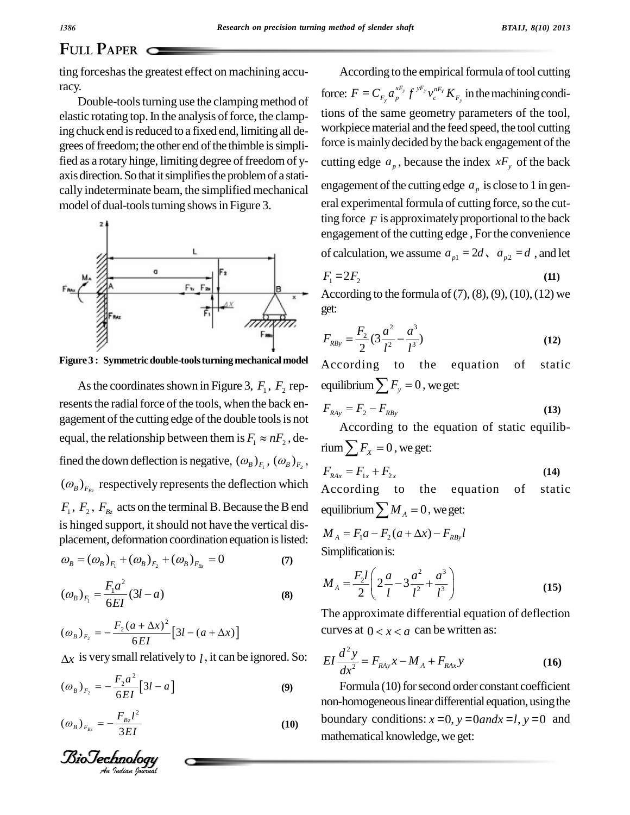ting forceshas the greatest effect on machining accuracy.<br>Double-tools turning use the clamping method of

elastic rotating top. In the analysis of force, the clamping chuck end is reduced to a fixed end, limiting all degrees of freedom; the other end of the thimble is simplified as a rotary hinge, limiting degree of freedom of yaxis direction. So that it simplifies the problem of a statically indeterminate beam, the simplified mechanical model of dual-tools turning shows in Figure 3.



**Figure 3 : Symmetric double-toolsturningmechanical model**

As the coordinates shown in Figure 3,  $F_1$ ,  $F_2$  represents the radial force of the tools, when the back engagement of the cutting edge of the double tools is not equal, the relationship between them is  $F_1 \approx nF_2$ , defined the down deflection is negative,  $(\omega_B)_{F_1}$ ,  $(\omega_B)_{F_2}$ , ,  $(\omega_{B})_{F_{B_{z}}}$  respectively represents the deflection which  $F_1, F_2, F_{B_z}$  acts on the terminal B. Because the B end equilibrium is hinged support, it should not have the vertical displacement, deformation coordination equation is listed: Is hinged support, it should not have the vertical displacement, deformation coordination equation is listed:<br> $\omega_B = (\omega_B)_{F_1} + (\omega_B)_{F_2} + (\omega_B)_{F_{Bz}} = 0$  (7)

$$
\omega_B = (\omega_B)_{F_1} + (\omega_B)_{F_2} + (\omega_B)_{F_{Bz}} = 0 \tag{7}
$$

$$
\omega_B = (\omega_B)_{F_1} + (\omega_B)_{F_2} + (\omega_B)_{F_{Bz}} = 0 \tag{7}
$$
  

$$
(\omega_B)_{F_1} = \frac{F_1 a^2}{6EI} (3l - a) \tag{8}
$$
  

$$
(\omega_B)_{F_1} = -\frac{F_2 (a + \Delta x)^2}{2} [3l - (a + \Delta x)]
$$

$$
(a_{B})_{F_2} = -\frac{F_2(a + \Delta x)^2}{6EI} [3l - (a + \Delta x)]
$$

$$
\Delta x
$$
 is very small relatively to *l*, it can be ignored. So:  
\n $(\omega_B)_{F_2} = -\frac{F_2 a^2}{6EI} [3l - a]$  (9)

$$
6EI^{-1}
$$
  
\n
$$
(\omega_B)_{F_{B_z}} = -\frac{F_{B_z}l^2}{3EI}
$$
 (10)

*BioTechnolog* 

According to the empirical formula of tool cutting force:  $F = C_{F_y} a_p^{xF_y} f^{yF_y} v_c^{nF_y} K_{F_y}$  in the machining conditions of the same geometry parameters of the tool, workpiece material and the feed speed, the tool cutting force is mainly decided by the back engagement of the cutting edge  $a_p$ , because the index  $xF_y$  of the back engagement of the cutting edge  $a<sub>p</sub>$  is close to 1 in general experimental formula of cutting force, so the cutting force  $F$  is approximately proportional to the back engagement of the cutting edge, For the convenience of calculation, we assume  $a_{p1} = 2d$ ,  $a_{p2} = d$ , and let

$$
F_1 = 2F_2 \tag{11}
$$

According to the formula of  $(7)$ ,  $(8)$ ,  $(9)$ ,  $(10)$ ,  $(12)$  we get:

get:  
\n
$$
F_{RBy} = \frac{F_2}{2} (3\frac{a^2}{l^2} - \frac{a^3}{l^3})
$$
\n(12)

According to the equation of static  $F_{RBy} = \frac{F_2}{2} (3\frac{a}{l^2} - \frac{a}{l^3})$ <br>According to the equati<br>equilibrium  $\sum F_y = 0$ , we get: Equilibrium  $\sum F_y = 0$ , we get:<br> $F_{RAy} = F_2 - F_{RBy}$  (13)

$$
F_{RAy} = F_2 - F_{RBy} \tag{13}
$$

According to the equation of static equilib- $F_{\text{Ray}} = F_2 - F_{\text{RBy}}$ <br>According to the equa<br>rium  $\sum F_x = 0$ , we get:  $\lim_{x \to R} \sum F_x = 0$ , we get:<br> $F_{RAx} = F_{1x} + F_{2x}$  (14)

$$
F_{RAx} = F_{1x} + F_{2x}
$$
 (14)

According to the equation of static  $F_{RAx} = F_{1x} + F_{2x}$ <br>According to the equatic<br>equilibrium  $\sum M_A = 0$ , we get: Equilibrium  $\sum M_A = 0$ , we get:<br>  $M_A = F_1 a - F_2 (a + \Delta x) - F_{RBy} l$ 

$$
M_A = F_1 a - F_2 (a + \Delta x) - F_{RBy} l
$$
  
Simplification is:  

$$
F_l (a - a^2 - a^3)
$$

Simplification is:  
\n
$$
M_{A} = \frac{F_{2}l}{2} \left( 2\frac{a}{l} - 3\frac{a^{2}}{l^{2}} + \frac{a^{3}}{l^{3}} \right)
$$
\n(15)

The approximate differential equation of deflection The approximate differential equation of d<br>curves at  $0 < x < a$  can be written as: curves at  $0 < x < a$  can be written as:

$$
EI\frac{d^2y}{dx^2} = F_{Ray}x - M_A + F_{RAx}y
$$
 (16)

Formula (10) for second order constant coefficient non-homogeneous linear differential equation, using the boundary conditions:  $x=0$ ,  $y=0$  and  $x=l$ ,  $y=0$  and mathematical knowledge, we get: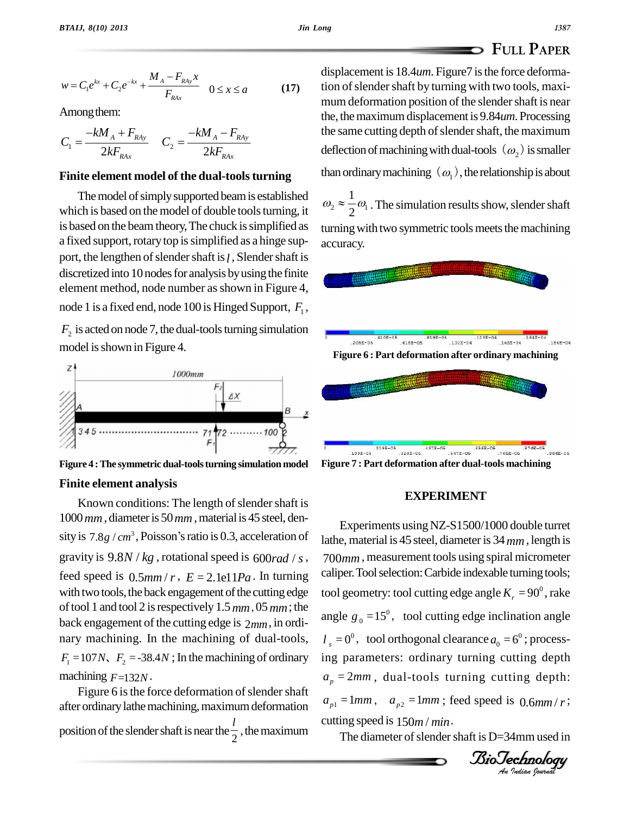$$
w = C_1 e^{kx} + C_2 e^{-kx} + \frac{M_A - F_{RAy}x}{F_{RAx}} \quad 0 \le x \le a
$$
 (17) d  
Among them:  

$$
-kM_A + F_{Bx} - kM_A - F_{Bx}
$$
 d

Among them: ю

Among them:  
\n
$$
C_1 = \frac{-kM_A + F_{RAy}}{2kF_{RAx}} \qquad C_2 = \frac{-kM_A - F_{RAy}}{2kF_{RAx}}
$$

#### **Finite element model of the dual-toolsturning**

The model of simply supported beam is established which is based on the model of double tools turning, it is based on the beam theory, The chuck is simplified as a fixed support, rotary top is simplified as a hinge support, the lengthen of slender shaft is *l*, Slender shaft is discretized into 10 nodes for analysis by using the finite element method, node number as shown in Figure 4, node 1 is a fixed end, node 100 is Hinged Support,  $F_1$ ,

 $F_2$  is acted on node 7, the dual-tools turning simulation model is shown in Figure 4.



**Figure 4 :The symmetric dual-toolsturning simulation model Finite element analysis**

### Known conditions: The length of slender shaft is  $1000$  mm, diameter is  $50$  mm, material is 45 steel, den-Known conditions: The length of slender shaft is<br>  $1000 \, mm$ , diameter is 50  $mm$ , material is 45 steel, density is  $7.8g / cm^3$ , Poisson's ratio is 0.3, acceleration of  $10^{11}$ gravity is  $9.8N / kg$ , rotational speed is  $600 rad / s$ , feed speed is  $0.5$ *mm | r*,  $E = 2$ . 1e11*Pa*. In turning with two tools, the back engagement of the cutting edge oftool 1 and tool2 isrespectively 1.5*mm*, 05*mm*; the back engagement of the cutting edge is 2*mm*, in ordi nary machining. In the machining of dual-tools,  $F_1 = 107N$ ,  $F_2 = -38.4N$ ; In the machining of ordinary machining *F*=132*N*.

Figure 6 is the force deformation of slender shaft after ordinary lathe machining, maximum deformation position of the slender shaft is near the  $\frac{l}{2}$ , the maximum The diar

displacement is 18.4*um*. Figure7 is the force deformation of slender shaft by turning with two tools, maximum deformation position of the slender shaft is near the, the maximum displacement is 9.84*um*. Processing the same cutting depth of slender shaft, the maximum deflection of machining with dual-tools  $(\omega_2)$  is smaller than ordinary machining  $(\omega_1)$ , the relationship is about

 $2^{\infty}$   $\sim$   $\omega_1$ . The  $1\,$ <sub>0</sub> than ordinary machining  $(\omega_1)$ , the relationship is about<br> $\omega_2 \approx \frac{1}{2} \omega_1$ . The simulation results show, slender shaft turning with two symmetric tools meets the machining accuracy.



**Figure 7 : Part deformation after dual-tools machining**

#### **EXPERIMENT**

 $l_s = 0^0$ , tool orthogonal clearance  $a_0 = 6^0$ ; process $a_p = 2mm$ , dual-tools turning cutting depth: *Indian*<br>*I* 0.6*mm / r* ;<br><br>*Indian bouwady* Experiments usingNZ-S1500/1000 double turret lathe, material is 45 steel, diameter is 34 mm, length is 700*mm*, measurement tools using spiral micrometer caliper. Tool selection: Carbide indexable turning tools; tool geometry: tool cutting edge angle  $K_r = 90^\circ$ , rake angle  $g_0 = 15^\circ$ , tool cutting edge inclination angle ing parameters: ordinary turning cutting depth  $a_{p1} = 1$ *mm*,  $a_{p2} = 1$ *mm*; feed speed is 0.6*mm*/*r*; cutting speed is  $150<sub>m</sub>$  / *min*.

The diameter of slender shaft is  $D=34$ mm used in

### **FULL PAPER**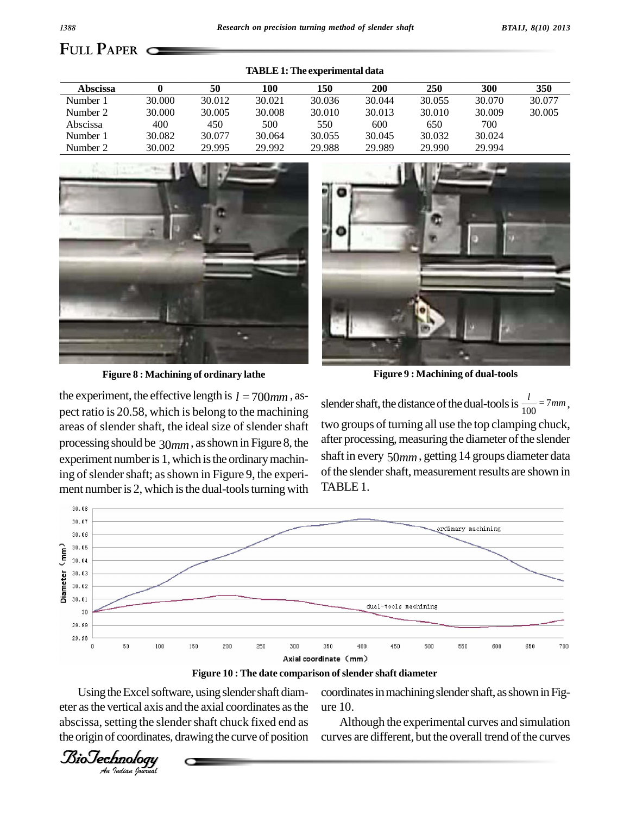| <b>Abscissa</b> |        | 50     | 100    | 150    | 200    | 250    | 300    | 350    |
|-----------------|--------|--------|--------|--------|--------|--------|--------|--------|
| Number 1        | 30.000 | 30.012 | 30.021 | 30.036 | 30.044 | 30.055 | 30.070 | 30.077 |
| Number 2        | 30.000 | 30.005 | 30.008 | 30.010 | 30.013 | 30.010 | 30.009 | 30.005 |
| Abscissa        | 400    | 450    | 500    | 550    | 600    | 650    | 700    |        |
| Number 1        | 30.082 | 30.077 | 30.064 | 30.055 | 30.045 | 30.032 | 30.024 |        |
| Number 2        | 30.002 | 29.995 | 29.992 | 29.988 | 29.989 | 29.990 | 29.994 |        |

**TABLE1:The experimental data**



**Figure 8 : Machining of ordinary lathe Figure 9 : Machining of dual-tools**

the experiment, the effective length is  $l = 700$ <sub>mm</sub>, aspect ratio is 20.58, which is belong to the machining areas of slender shaft, the ideal size of slender shaft processing should be 30*mm*, asshown in Figure 8, the experiment number is 1, which is the ordinary machining of slender shaft; as shown in Figure 9, the experiment number is 2, which is the dual-tools turning with

slender shaft, the distance of the dual-tools is  $\frac{l}{100} = 7$  mm, two groups of turning all use the top clamping chuck, after processing, measuring the diameter of the slender shaft in every 50*mm*, getting 14 groups diameter data of the slender shaft, measurement results are shown in TABLE 1.



**Figure 10 : The date comparison ofslender shaft diameter**

Using the Excel software, using slender shaft diam- coor eter as the vertical axis and the axial coordinates as the ure 10. abscissa, setting the slender shaft chuck fixed end as the origin of coordinates, drawing the curve of position

coordinates in machining slender shaft, as shown in Fig-

Although the experimental curves and simulation curves are different, but the overall trend of the curves